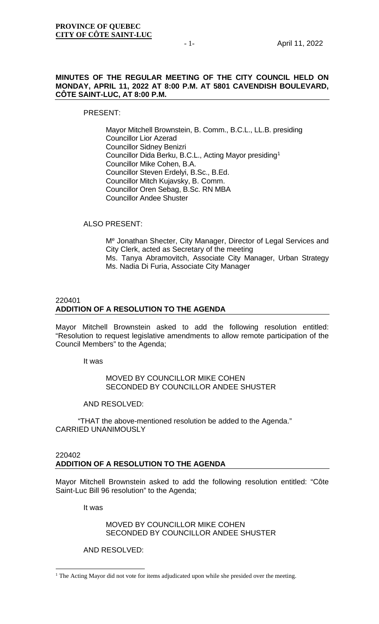## **MINUTES OF THE REGULAR MEETING OF THE CITY COUNCIL HELD ON MONDAY, APRIL 11, 2022 AT 8:00 P.M. AT 5801 CAVENDISH BOULEVARD, CÔTE SAINT-LUC, AT 8:00 P.M.**

PRESENT:

Mayor Mitchell Brownstein, B. Comm., B.C.L., LL.B. presiding Councillor Lior Azerad Councillor Sidney Benizri Councillor Dida Berku, B.C.L., Acting Mayor presiding[1](#page-0-0) Councillor Mike Cohen, B.A. Councillor Steven Erdelyi, B.Sc., B.Ed. Councillor Mitch Kujavsky, B. Comm. Councillor Oren Sebag, B.Sc. RN MBA Councillor Andee Shuster

## ALSO PRESENT:

Me Jonathan Shecter, City Manager, Director of Legal Services and City Clerk, acted as Secretary of the meeting Ms. Tanya Abramovitch, Associate City Manager, Urban Strategy Ms. Nadia Di Furia, Associate City Manager

## 220401 **ADDITION OF A RESOLUTION TO THE AGENDA**

Mayor Mitchell Brownstein asked to add the following resolution entitled: "Resolution to request legislative amendments to allow remote participation of the Council Members" to the Agenda;

It was

## MOVED BY COUNCILLOR MIKE COHEN SECONDED BY COUNCILLOR ANDEE SHUSTER

AND RESOLVED:

"THAT the above-mentioned resolution be added to the Agenda." CARRIED UNANIMOUSLY

## 220402 **ADDITION OF A RESOLUTION TO THE AGENDA**

Mayor Mitchell Brownstein asked to add the following resolution entitled: "Côte Saint-Luc Bill 96 resolution" to the Agenda;

It was

MOVED BY COUNCILLOR MIKE COHEN SECONDED BY COUNCILLOR ANDEE SHUSTER

AND RESOLVED:

<span id="page-0-0"></span><sup>&</sup>lt;sup>1</sup> The Acting Mayor did not vote for items adjudicated upon while she presided over the meeting.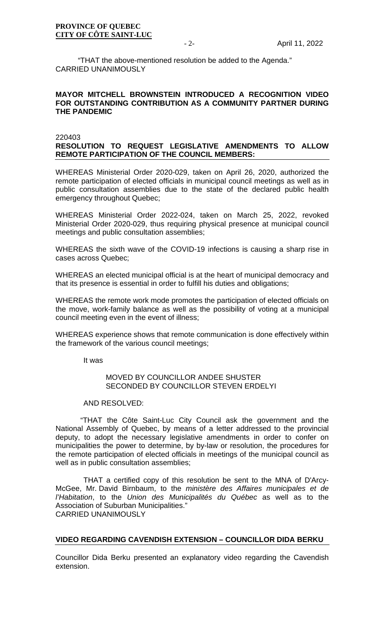"THAT the above-mentioned resolution be added to the Agenda." CARRIED UNANIMOUSLY

## **MAYOR MITCHELL BROWNSTEIN INTRODUCED A RECOGNITION VIDEO FOR OUTSTANDING CONTRIBUTION AS A COMMUNITY PARTNER DURING THE PANDEMIC**

220403

## **RESOLUTION TO REQUEST LEGISLATIVE AMENDMENTS TO ALLOW REMOTE PARTICIPATION OF THE COUNCIL MEMBERS:**

WHEREAS Ministerial Order 2020-029, taken on April 26, 2020, authorized the remote participation of elected officials in municipal council meetings as well as in public consultation assemblies due to the state of the declared public health emergency throughout Quebec;

WHEREAS Ministerial Order 2022-024, taken on March 25, 2022, revoked Ministerial Order 2020-029, thus requiring physical presence at municipal council meetings and public consultation assemblies;

WHEREAS the sixth wave of the COVID-19 infections is causing a sharp rise in cases across Quebec;

WHEREAS an elected municipal official is at the heart of municipal democracy and that its presence is essential in order to fulfill his duties and obligations;

WHEREAS the remote work mode promotes the participation of elected officials on the move, work-family balance as well as the possibility of voting at a municipal council meeting even in the event of illness;

WHEREAS experience shows that remote communication is done effectively within the framework of the various council meetings;

It was

## MOVED BY COUNCILLOR ANDEE SHUSTER SECONDED BY COUNCILLOR STEVEN ERDELYI

AND RESOLVED:

 "THAT the Côte Saint-Luc City Council ask the government and the National Assembly of Quebec, by means of a letter addressed to the provincial deputy, to adopt the necessary legislative amendments in order to confer on municipalities the power to determine, by by-law or resolution, the procedures for the remote participation of elected officials in meetings of the municipal council as well as in public consultation assemblies;

THAT a certified copy of this resolution be sent to the MNA of D'Arcy-McGee, Mr. David Birnbaum, to the *ministère des Affaires municipales et de l'Habitation*, to the *Union des Municipalités du Québec* as well as to the Association of Suburban Municipalities." CARRIED UNANIMOUSLY

## **VIDEO REGARDING CAVENDISH EXTENSION – COUNCILLOR DIDA BERKU**

Councillor Dida Berku presented an explanatory video regarding the Cavendish extension.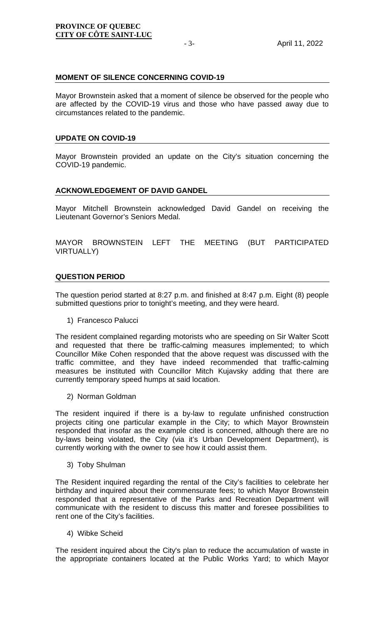## **MOMENT OF SILENCE CONCERNING COVID-19**

Mayor Brownstein asked that a moment of silence be observed for the people who are affected by the COVID-19 virus and those who have passed away due to circumstances related to the pandemic.

## **UPDATE ON COVID-19**

Mayor Brownstein provided an update on the City's situation concerning the COVID-19 pandemic.

## **ACKNOWLEDGEMENT OF DAVID GANDEL**

Mayor Mitchell Brownstein acknowledged David Gandel on receiving the Lieutenant Governor's Seniors Medal.

MAYOR BROWNSTEIN LEFT THE MEETING (BUT PARTICIPATED VIRTUALLY)

## **QUESTION PERIOD**

The question period started at 8:27 p.m. and finished at 8:47 p.m. Eight (8) people submitted questions prior to tonight's meeting, and they were heard.

1) Francesco Palucci

The resident complained regarding motorists who are speeding on Sir Walter Scott and requested that there be traffic-calming measures implemented; to which Councillor Mike Cohen responded that the above request was discussed with the traffic committee, and they have indeed recommended that traffic-calming measures be instituted with Councillor Mitch Kujavsky adding that there are currently temporary speed humps at said location.

2) Norman Goldman

The resident inquired if there is a by-law to regulate unfinished construction projects citing one particular example in the City; to which Mayor Brownstein responded that insofar as the example cited is concerned, although there are no by-laws being violated, the City (via it's Urban Development Department), is currently working with the owner to see how it could assist them.

3) Toby Shulman

The Resident inquired regarding the rental of the City's facilities to celebrate her birthday and inquired about their commensurate fees; to which Mayor Brownstein responded that a representative of the Parks and Recreation Department will communicate with the resident to discuss this matter and foresee possibilities to rent one of the City's facilities.

4) Wibke Scheid

The resident inquired about the City's plan to reduce the accumulation of waste in the appropriate containers located at the Public Works Yard; to which Mayor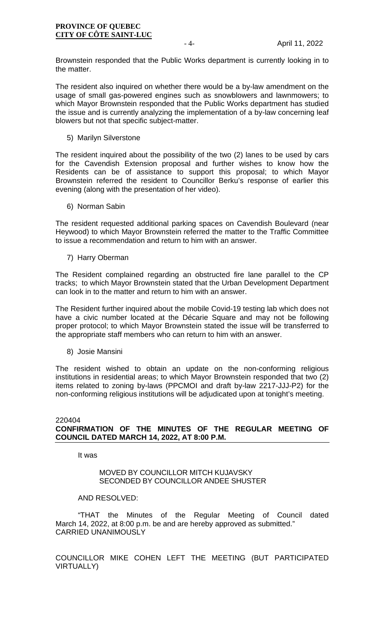Brownstein responded that the Public Works department is currently looking in to the matter.

The resident also inquired on whether there would be a by-law amendment on the usage of small gas-powered engines such as snowblowers and lawnmowers; to which Mayor Brownstein responded that the Public Works department has studied the issue and is currently analyzing the implementation of a by-law concerning leaf blowers but not that specific subject-matter.

5) Marilyn Silverstone

The resident inquired about the possibility of the two (2) lanes to be used by cars for the Cavendish Extension proposal and further wishes to know how the Residents can be of assistance to support this proposal; to which Mayor Brownstein referred the resident to Councillor Berku's response of earlier this evening (along with the presentation of her video).

6) Norman Sabin

The resident requested additional parking spaces on Cavendish Boulevard (near Heywood) to which Mayor Brownstein referred the matter to the Traffic Committee to issue a recommendation and return to him with an answer.

7) Harry Oberman

The Resident complained regarding an obstructed fire lane parallel to the CP tracks; to which Mayor Brownstein stated that the Urban Development Department can look in to the matter and return to him with an answer.

The Resident further inquired about the mobile Covid-19 testing lab which does not have a civic number located at the Décarie Square and may not be following proper protocol; to which Mayor Brownstein stated the issue will be transferred to the appropriate staff members who can return to him with an answer.

8) Josie Mansini

The resident wished to obtain an update on the non-conforming religious institutions in residential areas; to which Mayor Brownstein responded that two (2) items related to zoning by-laws (PPCMOI and draft by-law 2217-JJJ-P2) for the non-conforming religious institutions will be adjudicated upon at tonight's meeting.

#### 220404 **CONFIRMATION OF THE MINUTES OF THE REGULAR MEETING OF COUNCIL DATED MARCH 14, 2022, AT 8:00 P.M.**

It was

## MOVED BY COUNCILLOR MITCH KUJAVSKY SECONDED BY COUNCILLOR ANDEE SHUSTER

## AND RESOLVED:

"THAT the Minutes of the Regular Meeting of Council dated March 14, 2022, at 8:00 p.m. be and are hereby approved as submitted." CARRIED UNANIMOUSLY

COUNCILLOR MIKE COHEN LEFT THE MEETING (BUT PARTICIPATED VIRTUALLY)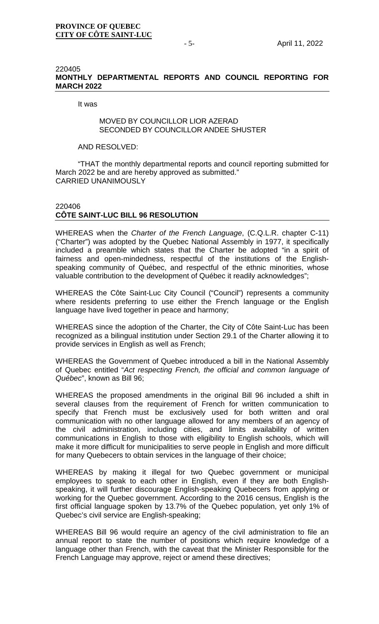#### 220405 **MONTHLY DEPARTMENTAL REPORTS AND COUNCIL REPORTING FOR MARCH 2022**

#### It was

## MOVED BY COUNCILLOR LIOR AZERAD SECONDED BY COUNCILLOR ANDEE SHUSTER

#### AND RESOLVED:

"THAT the monthly departmental reports and council reporting submitted for March 2022 be and are hereby approved as submitted." CARRIED UNANIMOUSLY

## 220406 **CÔTE SAINT-LUC BILL 96 RESOLUTION**

WHEREAS when the *Charter of the French Language*, (C.Q.L.R. chapter C-11) ("Charter") was adopted by the Quebec National Assembly in 1977, it specifically included a preamble which states that the Charter be adopted "in a spirit of fairness and open-mindedness, respectful of the institutions of the Englishspeaking community of Québec, and respectful of the ethnic minorities, whose valuable contribution to the development of Québec it readily acknowledges";

WHEREAS the Côte Saint-Luc City Council ("Council") represents a community where residents preferring to use either the French language or the English language have lived together in peace and harmony;

WHEREAS since the adoption of the Charter, the City of Côte Saint-Luc has been recognized as a bilingual institution under Section 29.1 of the Charter allowing it to provide services in English as well as French;

WHEREAS the Government of Quebec introduced a bill in the National Assembly of Quebec entitled "*Act respecting French, the official and common language of Québec*", known as Bill 96;

WHEREAS the proposed amendments in the original Bill 96 included a shift in several clauses from the requirement of French for written communication to specify that French must be exclusively used for both written and oral communication with no other language allowed for any members of an agency of the civil administration, including cities, and limits availability of written communications in English to those with eligibility to English schools, which will make it more difficult for municipalities to serve people in English and more difficult for many Quebecers to obtain services in the language of their choice;

WHEREAS by making it illegal for two Quebec government or municipal employees to speak to each other in English, even if they are both Englishspeaking, it will further discourage English-speaking Quebecers from applying or working for the Quebec government. According to the 2016 census, English is the first official language spoken by 13.7% of the Quebec population, yet only 1% of Quebec's civil service are English-speaking;

WHEREAS Bill 96 would require an agency of the civil administration to file an annual report to state the number of positions which require knowledge of a language other than French, with the caveat that the Minister Responsible for the French Language may approve, reject or amend these directives;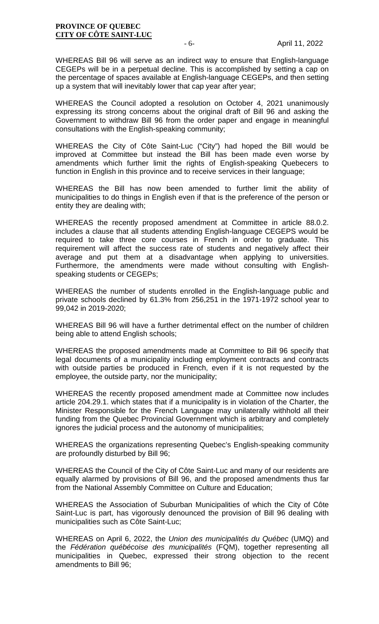WHEREAS Bill 96 will serve as an indirect way to ensure that English-language CEGEPs will be in a perpetual decline. This is accomplished by setting a cap on the percentage of spaces available at English-language CEGEPs, and then setting up a system that will inevitably lower that cap year after year;

WHEREAS the Council adopted a resolution on October 4, 2021 unanimously expressing its strong concerns about the original draft of Bill 96 and asking the Government to withdraw Bill 96 from the order paper and engage in meaningful consultations with the English-speaking community;

WHEREAS the City of Côte Saint-Luc ("City") had hoped the Bill would be improved at Committee but instead the Bill has been made even worse by amendments which further limit the rights of English-speaking Quebecers to function in English in this province and to receive services in their language;

WHEREAS the Bill has now been amended to further limit the ability of municipalities to do things in English even if that is the preference of the person or entity they are dealing with;

WHEREAS the recently proposed amendment at Committee in article 88.0.2. includes a clause that all students attending English-language CEGEPS would be required to take three core courses in French in order to graduate. This requirement will affect the success rate of students and negatively affect their average and put them at a disadvantage when applying to universities. Furthermore, the amendments were made without consulting with Englishspeaking students or CEGEPs;

WHEREAS the number of students enrolled in the English-language public and private schools declined by 61.3% from 256,251 in the 1971-1972 school year to 99,042 in 2019-2020;

WHEREAS Bill 96 will have a further detrimental effect on the number of children being able to attend English schools;

WHEREAS the proposed amendments made at Committee to Bill 96 specify that legal documents of a municipality including employment contracts and contracts with outside parties be produced in French, even if it is not requested by the employee, the outside party, nor the municipality;

WHEREAS the recently proposed amendment made at Committee now includes article 204.29.1. which states that if a municipality is in violation of the Charter, the Minister Responsible for the French Language may unilaterally withhold all their funding from the Quebec Provincial Government which is arbitrary and completely ignores the judicial process and the autonomy of municipalities;

WHEREAS the organizations representing Quebec's English-speaking community are profoundly disturbed by Bill 96;

WHEREAS the Council of the City of Côte Saint-Luc and many of our residents are equally alarmed by provisions of Bill 96, and the proposed amendments thus far from the National Assembly Committee on Culture and Education;

WHEREAS the Association of Suburban Municipalities of which the City of Côte Saint-Luc is part, has vigorously denounced the provision of Bill 96 dealing with municipalities such as Côte Saint-Luc;

WHEREAS on April 6, 2022, the *Union des municipalités du Québec* (UMQ) and the *Fédération québécoise des municipalités* (FQM), together representing all municipalities in Quebec, expressed their strong objection to the recent amendments to Bill 96;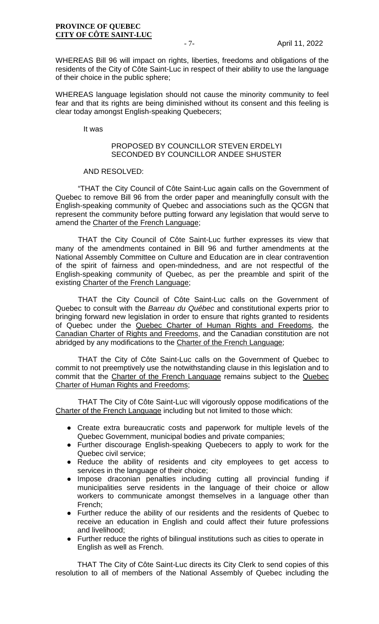WHEREAS Bill 96 will impact on rights, liberties, freedoms and obligations of the residents of the City of Côte Saint-Luc in respect of their ability to use the language of their choice in the public sphere;

WHEREAS language legislation should not cause the minority community to feel fear and that its rights are being diminished without its consent and this feeling is clear today amongst English-speaking Quebecers;

It was

## PROPOSED BY COUNCILLOR STEVEN ERDELYI SECONDED BY COUNCILLOR ANDEE SHUSTER

#### AND RESOLVED:

"THAT the City Council of Côte Saint-Luc again calls on the Government of Quebec to remove Bill 96 from the order paper and meaningfully consult with the English-speaking community of Quebec and associations such as the QCGN that represent the community before putting forward any legislation that would serve to amend the Charter of the French Language;

THAT the City Council of Côte Saint-Luc further expresses its view that many of the amendments contained in Bill 96 and further amendments at the National Assembly Committee on Culture and Education are in clear contravention of the spirit of fairness and open-mindedness, and are not respectful of the English-speaking community of Quebec, as per the preamble and spirit of the existing Charter of the French Language;

THAT the City Council of Côte Saint-Luc calls on the Government of Quebec to consult with the *Barreau du Québec* and constitutional experts prior to bringing forward new legislation in order to ensure that rights granted to residents of Quebec under the Quebec Charter of Human Rights and Freedoms, the Canadian Charter of Rights and Freedoms, and the Canadian constitution are not abridged by any modifications to the Charter of the French Language;

THAT the City of Côte Saint-Luc calls on the Government of Quebec to commit to not preemptively use the notwithstanding clause in this legislation and to commit that the Charter of the French Language remains subject to the Quebec Charter of Human Rights and Freedoms;

THAT The City of Côte Saint-Luc will vigorously oppose modifications of the Charter of the French Language including but not limited to those which:

- Create extra bureaucratic costs and paperwork for multiple levels of the Quebec Government, municipal bodies and private companies;
- Further discourage English-speaking Quebecers to apply to work for the Quebec civil service;
- Reduce the ability of residents and city employees to get access to services in the language of their choice;
- Impose draconian penalties including cutting all provincial funding if municipalities serve residents in the language of their choice or allow workers to communicate amongst themselves in a language other than French;
- Further reduce the ability of our residents and the residents of Quebec to receive an education in English and could affect their future professions and livelihood;
- Further reduce the rights of bilingual institutions such as cities to operate in English as well as French.

THAT The City of Côte Saint-Luc directs its City Clerk to send copies of this resolution to all of members of the National Assembly of Quebec including the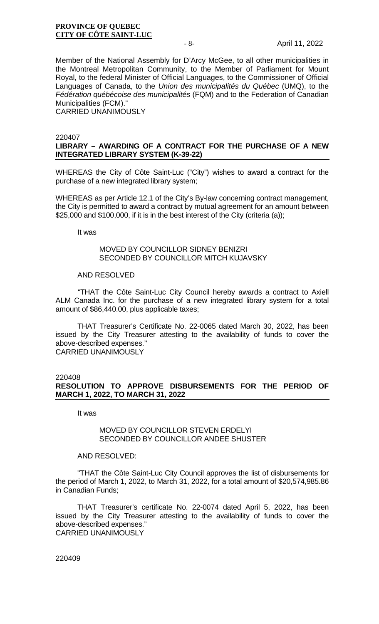Member of the National Assembly for D'Arcy McGee, to all other municipalities in the Montreal Metropolitan Community, to the Member of Parliament for Mount Royal, to the federal Minister of Official Languages, to the Commissioner of Official Languages of Canada, to the *Union des municipalités du Québec* (UMQ), to the *Fédération québécoise des municipalités* (FQM) and to the Federation of Canadian Municipalities (FCM)." CARRIED UNANIMOUSLY

#### 220407

## **LIBRARY – AWARDING OF A CONTRACT FOR THE PURCHASE OF A NEW INTEGRATED LIBRARY SYSTEM (K-39-22)**

WHEREAS the City of Côte Saint-Luc ("City") wishes to award a contract for the purchase of a new integrated library system;

WHEREAS as per Article 12.1 of the City's By-law concerning contract management, the City is permitted to award a contract by mutual agreement for an amount between \$25,000 and \$100,000, if it is in the best interest of the City (criteria (a));

It was

#### MOVED BY COUNCILLOR SIDNEY BENIZRI SECONDED BY COUNCILLOR MITCH KUJAVSKY

#### AND RESOLVED

"THAT the Côte Saint-Luc City Council hereby awards a contract to Axiell ALM Canada Inc. for the purchase of a new integrated library system for a total amount of \$86,440.00, plus applicable taxes;

THAT Treasurer's Certificate No. 22-0065 dated March 30, 2022, has been issued by the City Treasurer attesting to the availability of funds to cover the above-described expenses.'' CARRIED UNANIMOUSLY

#### 220408

**RESOLUTION TO APPROVE DISBURSEMENTS FOR THE PERIOD OF MARCH 1, 2022, TO MARCH 31, 2022**

It was

#### MOVED BY COUNCILLOR STEVEN ERDELYI SECONDED BY COUNCILLOR ANDEE SHUSTER

#### AND RESOLVED:

"THAT the Côte Saint-Luc City Council approves the list of disbursements for the period of March 1, 2022, to March 31, 2022, for a total amount of \$20,574,985.86 in Canadian Funds;

THAT Treasurer's certificate No. 22-0074 dated April 5, 2022, has been issued by the City Treasurer attesting to the availability of funds to cover the above-described expenses." CARRIED UNANIMOUSLY

220409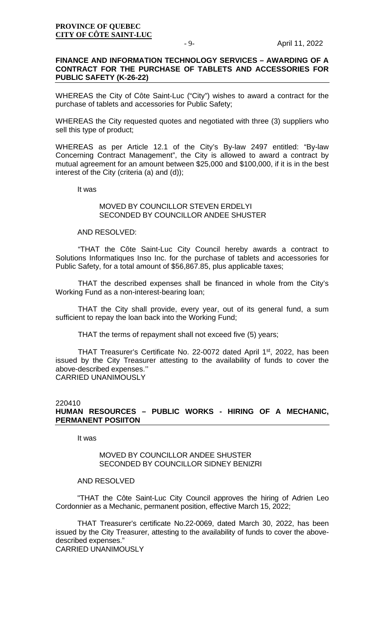### **FINANCE AND INFORMATION TECHNOLOGY SERVICES – AWARDING OF A CONTRACT FOR THE PURCHASE OF TABLETS AND ACCESSORIES FOR PUBLIC SAFETY (K-26-22)**

WHEREAS the City of Côte Saint-Luc ("City") wishes to award a contract for the purchase of tablets and accessories for Public Safety;

WHEREAS the City requested quotes and negotiated with three (3) suppliers who sell this type of product;

WHEREAS as per Article 12.1 of the City's By-law 2497 entitled: "By-law Concerning Contract Management", the City is allowed to award a contract by mutual agreement for an amount between \$25,000 and \$100,000, if it is in the best interest of the City (criteria (a) and (d));

It was

### MOVED BY COUNCILLOR STEVEN ERDELYL SECONDED BY COUNCILLOR ANDEE SHUSTER

#### AND RESOLVED:

"THAT the Côte Saint-Luc City Council hereby awards a contract to Solutions Informatiques Inso Inc. for the purchase of tablets and accessories for Public Safety, for a total amount of \$56,867.85, plus applicable taxes;

THAT the described expenses shall be financed in whole from the City's Working Fund as a non-interest-bearing loan;

THAT the City shall provide, every year, out of its general fund, a sum sufficient to repay the loan back into the Working Fund;

THAT the terms of repayment shall not exceed five (5) years;

THAT Treasurer's Certificate No. 22-0072 dated April 1<sup>st</sup>, 2022, has been issued by the City Treasurer attesting to the availability of funds to cover the above-described expenses.'' CARRIED UNANIMOUSLY

#### 220410 **HUMAN RESOURCES – PUBLIC WORKS - HIRING OF A MECHANIC, PERMANENT POSIITON**

It was

## MOVED BY COUNCILLOR ANDEE SHUSTER SECONDED BY COUNCILLOR SIDNEY BENIZRI

#### AND RESOLVED

"THAT the Côte Saint-Luc City Council approves the hiring of Adrien Leo Cordonnier as a Mechanic, permanent position, effective March 15, 2022;

THAT Treasurer's certificate No.22-0069, dated March 30, 2022, has been issued by the City Treasurer, attesting to the availability of funds to cover the abovedescribed expenses."

CARRIED UNANIMOUSLY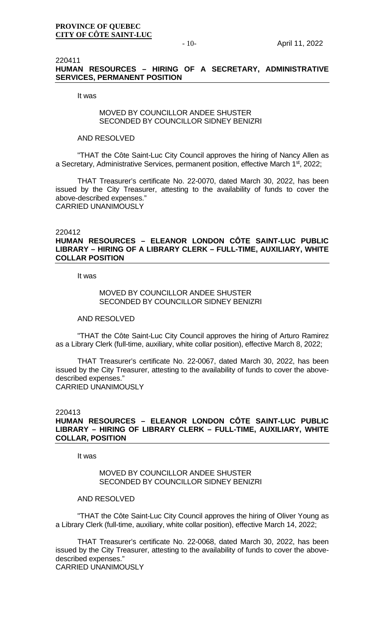#### 220411 **HUMAN RESOURCES – HIRING OF A SECRETARY, ADMINISTRATIVE SERVICES, PERMANENT POSITION**

It was

## MOVED BY COUNCILLOR ANDEE SHUSTER SECONDED BY COUNCILLOR SIDNEY BENIZRI

#### AND RESOLVED

"THAT the Côte Saint-Luc City Council approves the hiring of Nancy Allen as a Secretary, Administrative Services, permanent position, effective March 1st, 2022;

THAT Treasurer's certificate No. 22-0070, dated March 30, 2022, has been issued by the City Treasurer, attesting to the availability of funds to cover the above-described expenses." CARRIED UNANIMOUSLY

#### 220412

## **HUMAN RESOURCES – ELEANOR LONDON CÔTE SAINT-LUC PUBLIC LIBRARY – HIRING OF A LIBRARY CLERK – FULL-TIME, AUXILIARY, WHITE COLLAR POSITION**

It was

## MOVED BY COUNCILLOR ANDEE SHUSTER SECONDED BY COUNCILLOR SIDNEY BENIZRI

#### AND RESOLVED

"THAT the Côte Saint-Luc City Council approves the hiring of Arturo Ramirez as a Library Clerk (full-time, auxiliary, white collar position), effective March 8, 2022;

THAT Treasurer's certificate No. 22-0067, dated March 30, 2022, has been issued by the City Treasurer, attesting to the availability of funds to cover the abovedescribed expenses." CARRIED UNANIMOUSLY

#### 220413

## **HUMAN RESOURCES – ELEANOR LONDON CÔTE SAINT-LUC PUBLIC LIBRARY – HIRING OF LIBRARY CLERK – FULL-TIME, AUXILIARY, WHITE COLLAR, POSITION**

It was

#### MOVED BY COUNCILLOR ANDEE SHUSTER SECONDED BY COUNCILLOR SIDNEY BENIZRI

#### AND RESOLVED

"THAT the Côte Saint-Luc City Council approves the hiring of Oliver Young as a Library Clerk (full-time, auxiliary, white collar position), effective March 14, 2022;

THAT Treasurer's certificate No. 22-0068, dated March 30, 2022, has been issued by the City Treasurer, attesting to the availability of funds to cover the abovedescribed expenses." CARRIED UNANIMOUSLY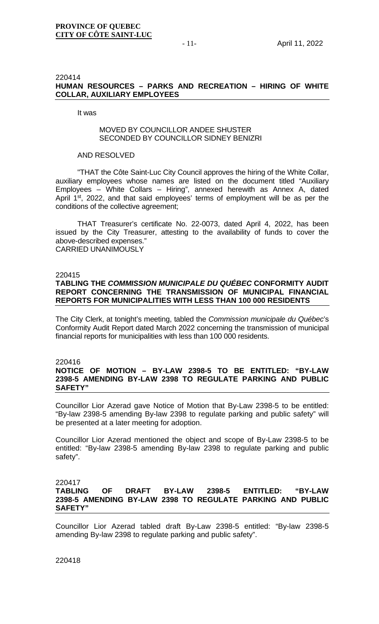### 220414 **HUMAN RESOURCES – PARKS AND RECREATION – HIRING OF WHITE COLLAR, AUXILIARY EMPLOYEES**

It was

## MOVED BY COUNCILLOR ANDEE SHUSTER SECONDED BY COUNCILLOR SIDNEY BENIZRI

#### AND RESOLVED

"THAT the Côte Saint-Luc City Council approves the hiring of the White Collar, auxiliary employees whose names are listed on the document titled "Auxiliary Employees – White Collars – Hiring", annexed herewith as Annex A, dated April 1<sup>st</sup>, 2022, and that said employees' terms of employment will be as per the conditions of the collective agreement;

THAT Treasurer's certificate No. 22-0073, dated April 4, 2022, has been issued by the City Treasurer, attesting to the availability of funds to cover the above-described expenses." CARRIED UNANIMOUSLY

#### 220415

## **TABLING THE** *COMMISSION MUNICIPALE DU QUÉBEC* **CONFORMITY AUDIT REPORT CONCERNING THE TRANSMISSION OF MUNICIPAL FINANCIAL REPORTS FOR MUNICIPALITIES WITH LESS THAN 100 000 RESIDENTS**

The City Clerk, at tonight's meeting, tabled the *Commission municipale du Québec*'s Conformity Audit Report dated March 2022 concerning the transmission of municipal financial reports for municipalities with less than 100 000 residents.

#### 220416

## **NOTICE OF MOTION – BY-LAW 2398-5 TO BE ENTITLED: "BY-LAW 2398-5 AMENDING BY-LAW 2398 TO REGULATE PARKING AND PUBLIC SAFETY"**

Councillor Lior Azerad gave Notice of Motion that By-Law 2398-5 to be entitled: "By-law 2398-5 amending By-law 2398 to regulate parking and public safety" will be presented at a later meeting for adoption.

Councillor Lior Azerad mentioned the object and scope of By-Law 2398-5 to be entitled: "By-law 2398-5 amending By-law 2398 to regulate parking and public safety".

## 220417

## **TABLING OF DRAFT BY-LAW 2398-5 ENTITLED: "BY-LAW 2398-5 AMENDING BY-LAW 2398 TO REGULATE PARKING AND PUBLIC SAFETY"**

Councillor Lior Azerad tabled draft By-Law 2398-5 entitled: "By-law 2398-5 amending By-law 2398 to regulate parking and public safety".

220418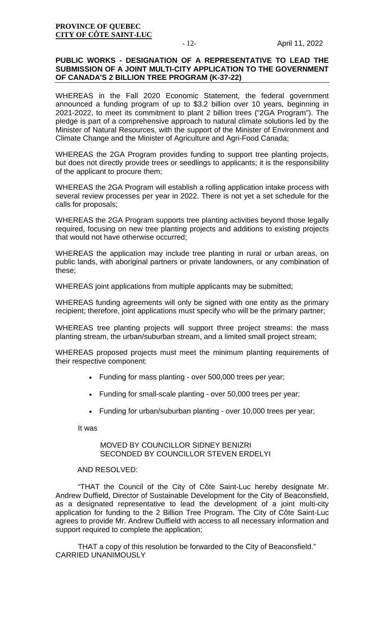## **PUBLIC WORKS - DESIGNATION OF A REPRESENTATIVE TO LEAD THE SUBMISSION OF A JOINT MULTI-CITY APPLICATION TO THE GOVERNMENT OF CANADA'S 2 BILLION TREE PROGRAM (K-37-22)**

WHEREAS in the Fall 2020 Economic Statement, the federal government announced a funding program of up to \$3.2 billion over 10 years, beginning in 2021-2022, to meet its commitment to plant 2 billion trees ("2GA Program"). The pledge is part of a comprehensive approach to natural climate solutions led by the Minister of Natural Resources, with the support of the Minister of Environment and Climate Change and the Minister of Agriculture and Agri-Food Canada;

WHEREAS the 2GA Program provides funding to support tree planting projects, but does not directly provide trees or seedlings to applicants; it is the responsibility of the applicant to procure them;

WHEREAS the 2GA Program will establish a rolling application intake process with several review processes per year in 2022. There is not yet a set schedule for the calls for proposals;

WHEREAS the 2GA Program supports tree planting activities beyond those legally required, focusing on new tree planting projects and additions to existing projects that would not have otherwise occurred;

WHEREAS the application may include tree planting in rural or urban areas, on public lands, with aboriginal partners or private landowners, or any combination of these;

WHEREAS joint applications from multiple applicants may be submitted;

WHEREAS funding agreements will only be signed with one entity as the primary recipient; therefore, joint applications must specify who will be the primary partner;

WHEREAS tree planting projects will support three project streams: the mass planting stream, the urban/suburban stream, and a limited small project stream;

WHEREAS proposed projects must meet the minimum planting requirements of their respective component:

- Funding for mass planting over 500,000 trees per year;
- Funding for small-scale planting over 50,000 trees per year;
- Funding for urban/suburban planting over 10,000 trees per year;

It was

## MOVED BY COUNCILLOR SIDNEY BENIZRI SECONDED BY COUNCILLOR STEVEN ERDELYI

#### AND RESOLVED:

"THAT the Council of the City of Côte Saint-Luc hereby designate Mr. Andrew Duffield, Director of Sustainable Development for the City of Beaconsfield, as a designated representative to lead the development of a joint multi-city application for funding to the 2 Billion Tree Program. The City of Côte Saint-Luc agrees to provide Mr. Andrew Duffield with access to all necessary information and support required to complete the application;

THAT a copy of this resolution be forwarded to the City of Beaconsfield." CARRIED UNANIMOUSLY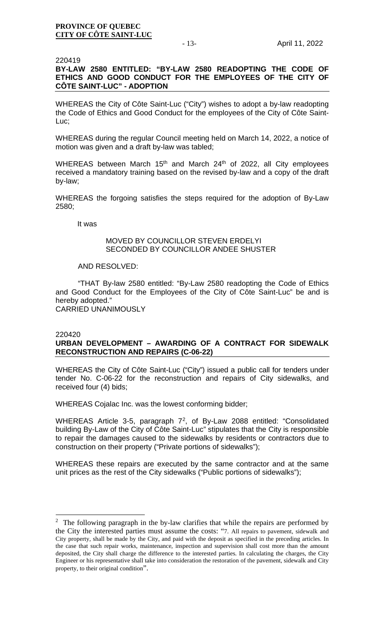#### 220419

## **BY-LAW 2580 ENTITLED: "BY-LAW 2580 READOPTING THE CODE OF ETHICS AND GOOD CONDUCT FOR THE EMPLOYEES OF THE CITY OF CÔTE SAINT-LUC" - ADOPTION**

WHEREAS the City of Côte Saint-Luc ("City") wishes to adopt a by-law readopting the Code of Ethics and Good Conduct for the employees of the City of Côte Saint-Luc;

WHEREAS during the regular Council meeting held on March 14, 2022, a notice of motion was given and a draft by-law was tabled;

WHEREAS between March 15<sup>th</sup> and March 24<sup>th</sup> of 2022, all City employees received a mandatory training based on the revised by-law and a copy of the draft by-law;

WHEREAS the forgoing satisfies the steps required for the adoption of By-Law 2580;

It was

#### MOVED BY COUNCILLOR STEVEN ERDELYI SECONDED BY COUNCILLOR ANDEE SHUSTER

#### AND RESOLVED:

"THAT By-law 2580 entitled: "By-Law 2580 readopting the Code of Ethics and Good Conduct for the Employees of the City of Côte Saint-Luc" be and is hereby adopted." CARRIED UNANIMOUSLY

#### 220420

## **URBAN DEVELOPMENT – AWARDING OF A CONTRACT FOR SIDEWALK RECONSTRUCTION AND REPAIRS (C-06-22)**

WHEREAS the City of Côte Saint-Luc ("City") issued a public call for tenders under tender No. C-06-22 for the reconstruction and repairs of City sidewalks, and received four (4) bids;

WHEREAS Cojalac Inc. was the lowest conforming bidder;

WHEREAS Article 3-5, paragraph 7[2](#page-12-0), of By-Law 2088 entitled: "Consolidated building By-Law of the City of Côte Saint-Luc" stipulates that the City is responsible to repair the damages caused to the sidewalks by residents or contractors due to construction on their property ("Private portions of sidewalks");

WHEREAS these repairs are executed by the same contractor and at the same unit prices as the rest of the City sidewalks ("Public portions of sidewalks");

<span id="page-12-0"></span> $2$  The following paragraph in the by-law clarifies that while the repairs are performed by the City the interested parties must assume the costs: "7. All repairs to pavement, sidewalk and City property, shall be made by the City, and paid with the deposit as specified in the preceding articles. In the case that such repair works, maintenance, inspection and supervision shall cost more than the amount deposited, the City shall charge the difference to the interested parties. In calculating the charges, the City Engineer or his representative shall take into consideration the restoration of the pavement, sidewalk and City property, to their original condition".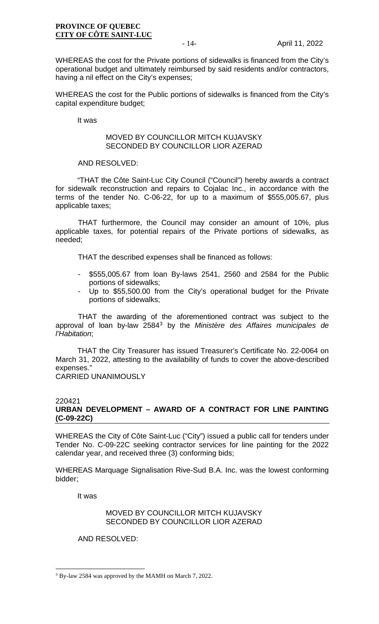WHEREAS the cost for the Private portions of sidewalks is financed from the City's operational budget and ultimately reimbursed by said residents and/or contractors, having a nil effect on the City's expenses;

WHEREAS the cost for the Public portions of sidewalks is financed from the City's capital expenditure budget;

It was

## MOVED BY COUNCILLOR MITCH KUJAVSKY SECONDED BY COUNCILLOR LIOR AZERAD

#### AND RESOLVED:

"THAT the Côte Saint-Luc City Council ("Council") hereby awards a contract for sidewalk reconstruction and repairs to Cojalac Inc., in accordance with the terms of the tender No. C-06-22, for up to a maximum of \$555,005.67, plus applicable taxes;

THAT furthermore, the Council may consider an amount of 10%, plus applicable taxes, for potential repairs of the Private portions of sidewalks, as needed;

THAT the described expenses shall be financed as follows:

- \$555,005.67 from loan By-laws 2541, 2560 and 2584 for the Public portions of sidewalks;
- Up to \$55,500.00 from the City's operational budget for the Private portions of sidewalks;

THAT the awarding of the aforementioned contract was subject to the approval of loan by-law 2584[3](#page-13-0) by the *Ministère des Affaires municipales de l'Habitation*;

THAT the City Treasurer has issued Treasurer's Certificate No. 22-0064 on March 31, 2022, attesting to the availability of funds to cover the above-described expenses." CARRIED UNANIMOUSLY

#### 220421

## **URBAN DEVELOPMENT – AWARD OF A CONTRACT FOR LINE PAINTING (C-09-22C)**

WHEREAS the City of Côte Saint-Luc ("City") issued a public call for tenders under Tender No. C-09-22C seeking contractor services for line painting for the 2022 calendar year, and received three (3) conforming bids;

WHEREAS Marquage Signalisation Rive-Sud B.A. Inc. was the lowest conforming bidder;

It was

## MOVED BY COUNCILLOR MITCH KUJAVSKY SECONDED BY COUNCILLOR LIOR AZERAD

AND RESOLVED:

<span id="page-13-0"></span><sup>3</sup> By-law 2584 was approved by the MAMH on March 7, 2022.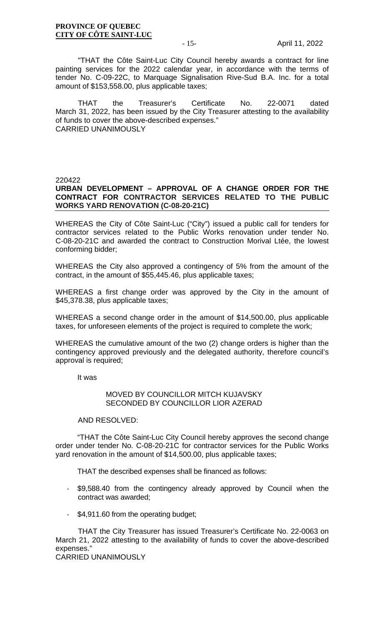"THAT the Côte Saint-Luc City Council hereby awards a contract for line painting services for the 2022 calendar year, in accordance with the terms of tender No. C-09-22C, to Marquage Signalisation Rive-Sud B.A. Inc. for a total amount of \$153,558.00, plus applicable taxes;

THAT the Treasurer's Certificate No. 22-0071 dated March 31, 2022, has been issued by the City Treasurer attesting to the availability of funds to cover the above-described expenses." CARRIED UNANIMOUSLY

#### 220422

## **URBAN DEVELOPMENT – APPROVAL OF A CHANGE ORDER FOR THE CONTRACT FOR CONTRACTOR SERVICES RELATED TO THE PUBLIC WORKS YARD RENOVATION (C-08-20-21C)**

WHEREAS the City of Côte Saint-Luc ("City") issued a public call for tenders for contractor services related to the Public Works renovation under tender No. C-08-20-21C and awarded the contract to Construction Morival Ltée, the lowest conforming bidder;

WHEREAS the City also approved a contingency of 5% from the amount of the contract, in the amount of \$55,445.46, plus applicable taxes;

WHEREAS a first change order was approved by the City in the amount of \$45,378.38, plus applicable taxes;

WHEREAS a second change order in the amount of \$14,500.00, plus applicable taxes, for unforeseen elements of the project is required to complete the work;

WHEREAS the cumulative amount of the two (2) change orders is higher than the contingency approved previously and the delegated authority, therefore council's approval is required;

It was

## MOVED BY COUNCILLOR MITCH KUJAVSKY SECONDED BY COUNCILLOR LIOR AZERAD

#### AND RESOLVED:

"THAT the Côte Saint-Luc City Council hereby approves the second change order under tender No. C-08-20-21C for contractor services for the Public Works yard renovation in the amount of \$14,500.00, plus applicable taxes;

THAT the described expenses shall be financed as follows:

- \$9,588.40 from the contingency already approved by Council when the contract was awarded;
- \$4,911.60 from the operating budget;

THAT the City Treasurer has issued Treasurer's Certificate No. 22-0063 on March 21, 2022 attesting to the availability of funds to cover the above-described expenses."

CARRIED UNANIMOUSLY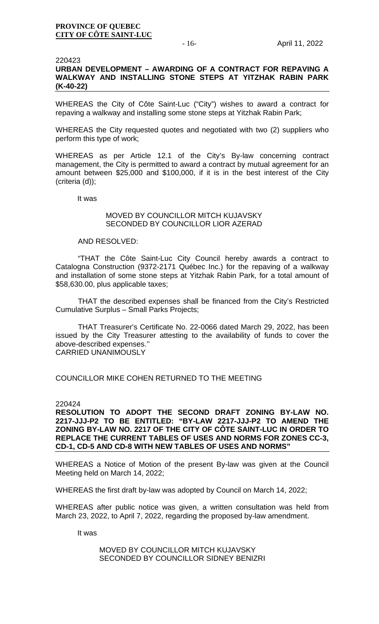#### 220423

## **URBAN DEVELOPMENT – AWARDING OF A CONTRACT FOR REPAVING A WALKWAY AND INSTALLING STONE STEPS AT YITZHAK RABIN PARK (K-40-22)**

WHEREAS the City of Côte Saint-Luc ("City") wishes to award a contract for repaving a walkway and installing some stone steps at Yitzhak Rabin Park;

WHEREAS the City requested quotes and negotiated with two (2) suppliers who perform this type of work;

WHEREAS as per Article 12.1 of the City's By-law concerning contract management, the City is permitted to award a contract by mutual agreement for an amount between \$25,000 and \$100,000, if it is in the best interest of the City (criteria (d));

It was

## MOVED BY COUNCILLOR MITCH KUJAVSKY SECONDED BY COUNCILLOR LIOR AZERAD

#### AND RESOLVED:

"THAT the Côte Saint-Luc City Council hereby awards a contract to Catalogna Construction (9372-2171 Québec Inc.) for the repaving of a walkway and installation of some stone steps at Yitzhak Rabin Park, for a total amount of \$58,630.00, plus applicable taxes;

THAT the described expenses shall be financed from the City's Restricted Cumulative Surplus – Small Parks Projects;

THAT Treasurer's Certificate No. 22-0066 dated March 29, 2022, has been issued by the City Treasurer attesting to the availability of funds to cover the above-described expenses.''

CARRIED UNANIMOUSLY

COUNCILLOR MIKE COHEN RETURNED TO THE MEETING

#### 220424

**RESOLUTION TO ADOPT THE SECOND DRAFT ZONING BY-LAW NO. 2217-JJJ-P2 TO BE ENTITLED: "BY-LAW 2217-JJJ-P2 TO AMEND THE ZONING BY-LAW NO. 2217 OF THE CITY OF CÔTE SAINT-LUC IN ORDER TO REPLACE THE CURRENT TABLES OF USES AND NORMS FOR ZONES CC-3, CD-1, CD-5 AND CD-8 WITH NEW TABLES OF USES AND NORMS"**

WHEREAS a Notice of Motion of the present By-law was given at the Council Meeting held on March 14, 2022;

WHEREAS the first draft by-law was adopted by Council on March 14, 2022;

WHEREAS after public notice was given, a written consultation was held from March 23, 2022, to April 7, 2022, regarding the proposed by-law amendment.

It was

MOVED BY COUNCILLOR MITCH KUJAVSKY SECONDED BY COUNCILLOR SIDNEY BENIZRI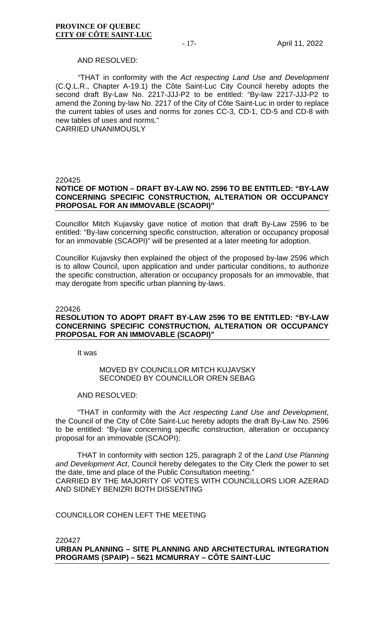#### AND RESOLVED:

"THAT in conformity with the *Act respecting Land Use and Development* (C.Q.L.R., Chapter A-19.1) the Côte Saint-Luc City Council hereby adopts the second draft By-Law No. 2217-JJJ-P2 to be entitled: "By-law 2217-JJJ-P2 to amend the Zoning by-law No. 2217 of the City of Côte Saint-Luc in order to replace the current tables of uses and norms for zones CC-3, CD-1, CD-5 and CD-8 with new tables of uses and norms."

CARRIED UNANIMOUSLY

#### 220425

## **NOTICE OF MOTION – DRAFT BY-LAW NO. 2596 TO BE ENTITLED: "BY-LAW CONCERNING SPECIFIC CONSTRUCTION, ALTERATION OR OCCUPANCY PROPOSAL FOR AN IMMOVABLE (SCAOPI)"**

Councillor Mitch Kujavsky gave notice of motion that draft By-Law 2596 to be entitled: "By-law concerning specific construction, alteration or occupancy proposal for an immovable (SCAOPI)" will be presented at a later meeting for adoption.

Councillor Kujavsky then explained the object of the proposed by-law 2596 which is to allow Council, upon application and under particular conditions, to authorize the specific construction, alteration or occupancy proposals for an immovable, that may derogate from specific urban planning by-laws.

#### 220426

## **RESOLUTION TO ADOPT DRAFT BY-LAW 2596 TO BE ENTITLED: "BY-LAW CONCERNING SPECIFIC CONSTRUCTION, ALTERATION OR OCCUPANCY PROPOSAL FOR AN IMMOVABLE (SCAOPI)"**

It was

## MOVED BY COUNCILLOR MITCH KUJAVSKY SECONDED BY COUNCILLOR OREN SEBAG

#### AND RESOLVED:

"THAT in conformity with the *Act respecting Land Use and Development*, the Council of the City of Côte Saint-Luc hereby adopts the draft By-Law No. 2596 to be entitled: "By-law concerning specific construction, alteration or occupancy proposal for an immovable (SCAOPI);

THAT In conformity with section 125, paragraph 2 of the *Land Use Planning and Development Act*, Council hereby delegates to the City Clerk the power to set the date, time and place of the Public Consultation meeting." CARRIED BY THE MAJORITY OF VOTES WITH COUNCILLORS LIOR AZERAD AND SIDNEY BENIZRI BOTH DISSENTING

COUNCILLOR COHEN LEFT THE MEETING

220427 **URBAN PLANNING – SITE PLANNING AND ARCHITECTURAL INTEGRATION PROGRAMS (SPAIP) – 5621 MCMURRAY – CÔTE SAINT-LUC**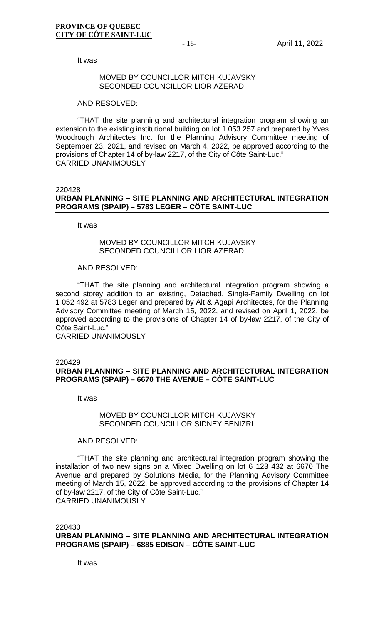It was

#### MOVED BY COUNCILLOR MITCH KUJJAVSKY SECONDED COUNCILLOR LIOR AZERAD

AND RESOLVED:

"THAT the site planning and architectural integration program showing an extension to the existing institutional building on lot 1 053 257 and prepared by Yves Woodrough Architectes Inc. for the Planning Advisory Committee meeting of September 23, 2021, and revised on March 4, 2022, be approved according to the provisions of Chapter 14 of by-law 2217, of the City of Côte Saint-Luc." CARRIED UNANIMOUSLY

#### 220428 **URBAN PLANNING – SITE PLANNING AND ARCHITECTURAL INTEGRATION PROGRAMS (SPAIP) – 5783 LEGER – CÔTE SAINT-LUC**

It was

## MOVED BY COUNCILLOR MITCH KUJAVSKY SECONDED COUNCILLOR LIOR AZERAD

#### AND RESOLVED:

"THAT the site planning and architectural integration program showing a second storey addition to an existing, Detached, Single-Family Dwelling on lot 1 052 492 at 5783 Leger and prepared by Alt & Agapi Architectes, for the Planning Advisory Committee meeting of March 15, 2022, and revised on April 1, 2022, be approved according to the provisions of Chapter 14 of by-law 2217, of the City of Côte Saint-Luc."

CARRIED UNANIMOUSLY

#### 220429 **URBAN PLANNING – SITE PLANNING AND ARCHITECTURAL INTEGRATION PROGRAMS (SPAIP) – 6670 THE AVENUE – CÔTE SAINT-LUC**

It was

## MOVED BY COUNCILLOR MITCH KUJAVSKY SECONDED COUNCILLOR SIDNEY BENIZRI

## AND RESOLVED:

"THAT the site planning and architectural integration program showing the installation of two new signs on a Mixed Dwelling on lot 6 123 432 at 6670 The Avenue and prepared by Solutions Media, for the Planning Advisory Committee meeting of March 15, 2022, be approved according to the provisions of Chapter 14 of by-law 2217, of the City of Côte Saint-Luc." CARRIED UNANIMOUSLY

220430 **URBAN PLANNING – SITE PLANNING AND ARCHITECTURAL INTEGRATION PROGRAMS (SPAIP) – 6885 EDISON – CÔTE SAINT-LUC**

It was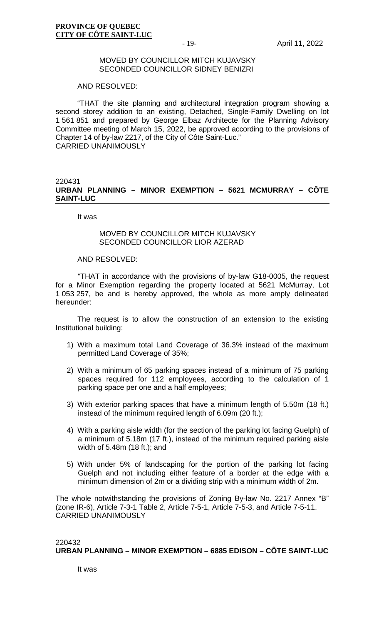#### MOVED BY COUNCILLOR MITCH KUJAVSKY SECONDED COUNCILLOR SIDNEY BENIZRI

AND RESOLVED:

"THAT the site planning and architectural integration program showing a second storey addition to an existing, Detached, Single-Family Dwelling on lot 1 561 851 and prepared by George Elbaz Architecte for the Planning Advisory Committee meeting of March 15, 2022, be approved according to the provisions of Chapter 14 of by-law 2217, of the City of Côte Saint-Luc." CARRIED UNANIMOUSLY

#### 220431 **URBAN PLANNING – MINOR EXEMPTION – 5621 MCMURRAY – CÔTE SAINT-LUC**

It was

#### MOVED BY COUNCILLOR MITCH KUJAVSKY SECONDED COUNCILLOR LIOR AZERAD

#### AND RESOLVED:

"THAT in accordance with the provisions of by-law G18-0005, the request for a Minor Exemption regarding the property located at 5621 McMurray, Lot 1 053 257, be and is hereby approved, the whole as more amply delineated hereunder:

The request is to allow the construction of an extension to the existing Institutional building:

- 1) With a maximum total Land Coverage of 36.3% instead of the maximum permitted Land Coverage of 35%;
- 2) With a minimum of 65 parking spaces instead of a minimum of 75 parking spaces required for 112 employees, according to the calculation of 1 parking space per one and a half employees;
- 3) With exterior parking spaces that have a minimum length of 5.50m (18 ft.) instead of the minimum required length of 6.09m (20 ft.);
- 4) With a parking aisle width (for the section of the parking lot facing Guelph) of a minimum of 5.18m (17 ft.), instead of the minimum required parking aisle width of 5.48m (18 ft.); and
- 5) With under 5% of landscaping for the portion of the parking lot facing Guelph and not including either feature of a border at the edge with a minimum dimension of 2m or a dividing strip with a minimum width of 2m.

The whole notwithstanding the provisions of Zoning By-law No. 2217 Annex "B" (zone IR-6), Article 7-3-1 Table 2, Article 7-5-1, Article 7-5-3, and Article 7-5-11. CARRIED UNANIMOUSLY

#### 220432 **URBAN PLANNING – MINOR EXEMPTION – 6885 EDISON – CÔTE SAINT-LUC**

It was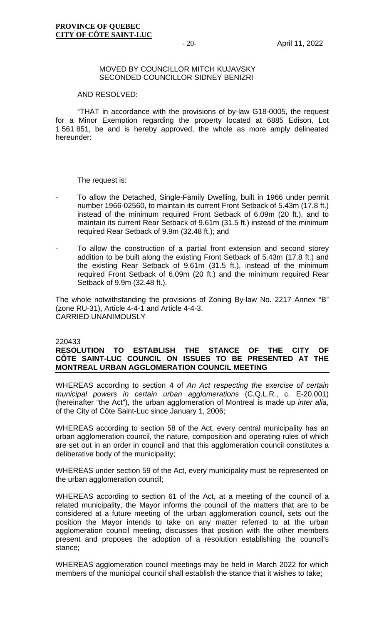#### MOVED BY COUNCILLOR MITCH KUJAVSKY SECONDED COUNCILLOR SIDNEY BENIZRI

#### AND RESOLVED:

"THAT in accordance with the provisions of by-law G18-0005, the request for a Minor Exemption regarding the property located at 6885 Edison, Lot 1 561 851, be and is hereby approved, the whole as more amply delineated hereunder:

The request is:

- To allow the Detached, Single-Family Dwelling, built in 1966 under permit number 1966-02560, to maintain its current Front Setback of 5.43m (17.8 ft.) instead of the minimum required Front Setback of 6.09m (20 ft.), and to maintain its current Rear Setback of 9.61m (31.5 ft.) instead of the minimum required Rear Setback of 9.9m (32.48 ft.); and
- To allow the construction of a partial front extension and second storey addition to be built along the existing Front Setback of 5.43m (17.8 ft.) and the existing Rear Setback of 9.61m (31.5 ft.), instead of the minimum required Front Setback of 6.09m (20 ft.) and the minimum required Rear Setback of 9.9m (32.48 ft.).

The whole notwithstanding the provisions of Zoning By-law No. 2217 Annex "B" (zone RU-31), Article 4-4-1 and Article 4-4-3. CARRIED UNANIMOUSLY

#### 220433

## **RESOLUTION TO ESTABLISH THE STANCE OF THE CITY OF CÔTE SAINT-LUC COUNCIL ON ISSUES TO BE PRESENTED AT THE MONTREAL URBAN AGGLOMERATION COUNCIL MEETING**

WHEREAS according to section 4 of *An Act respecting the exercise of certain municipal powers in certain urban agglomerations* (C.Q.L.R., c. E-20.001) (hereinafter "the Act"), the urban agglomeration of Montreal is made up *inter alia*, of the City of Côte Saint-Luc since January 1, 2006;

WHEREAS according to section 58 of the Act, every central municipality has an urban agglomeration council, the nature, composition and operating rules of which are set out in an order in council and that this agglomeration council constitutes a deliberative body of the municipality;

WHEREAS under section 59 of the Act, every municipality must be represented on the urban agglomeration council;

WHEREAS according to section 61 of the Act, at a meeting of the council of a related municipality, the Mayor informs the council of the matters that are to be considered at a future meeting of the urban agglomeration council, sets out the position the Mayor intends to take on any matter referred to at the urban agglomeration council meeting, discusses that position with the other members present and proposes the adoption of a resolution establishing the council's stance;

WHEREAS agglomeration council meetings may be held in March 2022 for which members of the municipal council shall establish the stance that it wishes to take;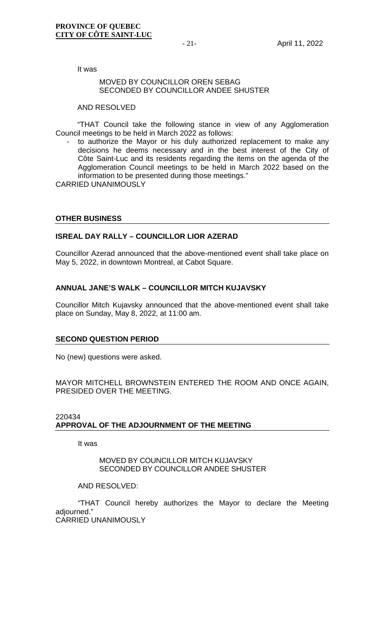It was

#### MOVED BY COUNCILLOR OREN SEBAG SECONDED BY COUNCILLOR ANDEE SHUSTER

#### AND RESOLVED

"THAT Council take the following stance in view of any Agglomeration Council meetings to be held in March 2022 as follows:

to authorize the Mayor or his duly authorized replacement to make any decisions he deems necessary and in the best interest of the City of Côte Saint-Luc and its residents regarding the items on the agenda of the Agglomeration Council meetings to be held in March 2022 based on the information to be presented during those meetings."

CARRIED UNANIMOUSLY

## **OTHER BUSINESS**

## **ISREAL DAY RALLY – COUNCILLOR LIOR AZERAD**

Councillor Azerad announced that the above-mentioned event shall take place on May 5, 2022, in downtown Montreal, at Cabot Square.

## **ANNUAL JANE'S WALK – COUNCILLOR MITCH KUJAVSKY**

Councillor Mitch Kujavsky announced that the above-mentioned event shall take place on Sunday, May 8, 2022, at 11:00 am.

#### **SECOND QUESTION PERIOD**

No (new) questions were asked.

MAYOR MITCHELL BROWNSTEIN ENTERED THE ROOM AND ONCE AGAIN, PRESIDED OVER THE MEETING.

## 220434 **APPROVAL OF THE ADJOURNMENT OF THE MEETING**

It was

MOVED BY COUNCILLOR MITCH KUJAVSKY SECONDED BY COUNCILLOR ANDEE SHUSTER

#### AND RESOLVED:

"THAT Council hereby authorizes the Mayor to declare the Meeting adjourned." CARRIED UNANIMOUSLY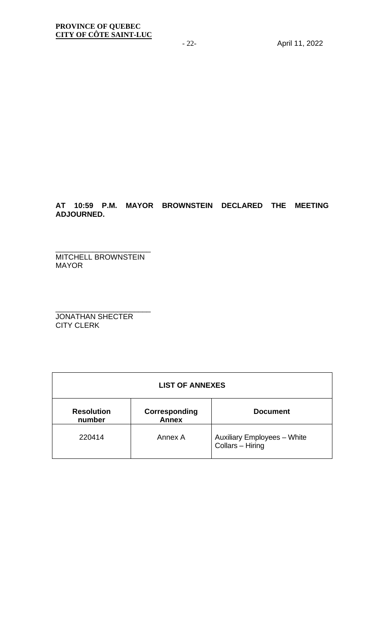## **AT 10:59 P.M. MAYOR BROWNSTEIN DECLARED THE MEETING ADJOURNED.**

\_\_\_\_\_\_\_\_\_\_\_\_\_\_\_\_\_\_\_\_\_\_\_ MITCHELL BROWNSTEIN MAYOR

\_\_\_\_\_\_\_\_\_\_\_\_\_\_\_\_\_\_\_\_\_\_\_ JONATHAN SHECTER CITY CLERK

| <b>LIST OF ANNEXES</b>      |                               |                                                        |  |  |  |  |  |
|-----------------------------|-------------------------------|--------------------------------------------------------|--|--|--|--|--|
| <b>Resolution</b><br>number | Corresponding<br><b>Annex</b> | <b>Document</b>                                        |  |  |  |  |  |
| 220414                      | Annex A                       | <b>Auxiliary Employees - White</b><br>Collars - Hiring |  |  |  |  |  |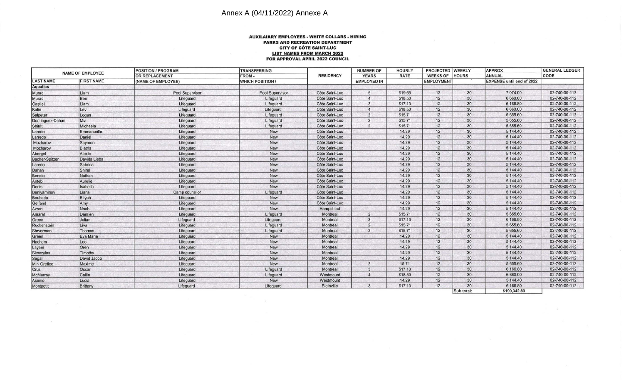# Annex A (04/11/2022) Annexe A

#### **AUXILAIARY EMPLOYEES· WHITE COLLARS · HIRING PARKS AND RECREATION DEPARTMENT CITY OF COTE SAINT-LUC LIST NAMES FROM MARCH 2022 FOR APPROVAL APRIL 2022 COUNCIL**

| <b>NAME OF EMPLOYEE</b> |                   | <b>POSITION / PROGRAM</b> | <b>TRANSFERRING</b>     | <b>RESIDENCY</b> | <b>NUMBER OF</b><br><b>YEARS</b> | <b>HOURLY</b><br><b>RATE</b> | PROJECTED WEEKLY<br><b>WEEKS OF</b><br><b>HOURS</b> |            | <b>APPROX</b><br>ANNUAL          | <b>GENERAL LEDGER</b><br>CODE |
|-------------------------|-------------------|---------------------------|-------------------------|------------------|----------------------------------|------------------------------|-----------------------------------------------------|------------|----------------------------------|-------------------------------|
|                         |                   | <b>OR REPLACEMENT</b>     | FROM-                   |                  |                                  |                              |                                                     |            |                                  |                               |
| <b>LAST NAME</b>        | <b>FIRST NAME</b> | (NAME OF EMPLOYEE)        | <b>WHICH POSITION /</b> |                  | <b>EMPLOYED IN</b>               |                              | <b>EMPLOYMENT</b>                                   |            | <b>EXPENSE until end of 2022</b> |                               |
| <b>Aquatics</b>         |                   |                           |                         |                  |                                  |                              |                                                     |            |                                  |                               |
| Murad                   | Liam              | Pool Supervisor           | Pool Supervisor         | Côte Saint-Luc   | $5^{\circ}$                      | \$19.65                      | 12                                                  | 30         | 7,074.00                         | 02-740-00-112                 |
| Murad                   | Ben               | Lifequard                 | Lifequard               | Côte Saint-Luc   | $\overline{4}$                   | \$18.50                      | 12                                                  | 30         | 6,660.00                         | 02-740-00-112                 |
| Castiel                 | Liam              | Lifeguard                 | Lifeguard               | Côte Saint-Luc   | 3                                | \$17.13                      | 12                                                  | 30         | 6,166.80                         | 02-740-00-112                 |
| Kalin                   | Lev               | Lifeguard                 | Lifeguard               | Côte Saint-Luc   | $\overline{4}$                   | \$18.50                      | 12                                                  | 30         | 6,660.00                         | 02-740-00-112                 |
| Salpeter                | Logan             | Lifeguard                 | Lifequard               | Côte Saint-Luc   | $\overline{2}$                   | \$15.71                      | 12                                                  | 30         | 5,655.60                         | 02-740-00-112                 |
| Dominguez-Dahan         | Mia               | Lifeguard                 | Lifeguard               | Côte Saint-Luc   | $\overline{2}$                   | \$15.71                      | 12                                                  | 30         | 5,655.60                         | 02-740-00-112                 |
| Shitrit                 | Michaela          | Lifeguard                 | Lifequard               | Côte Saint-Luc   | $\overline{2}$                   | \$15.71                      | 12                                                  | 30         | 5,655.60                         | 02-740-00-112                 |
| Laredo                  | Emmanuelle        | Lifequard                 | <b>New</b>              | Côte Saint-Luc   |                                  | 14.29                        | 12                                                  | 30         | 5,144.40                         | 02-740-00-112                 |
| Larredo                 | Daniel            | Lifeguard                 | New                     | Côte Saint-Luc   |                                  | 14.29                        | 12                                                  | 30         | 5,144.40                         | 02-740-00-112                 |
| Mozharov                | Saymon            | Lifeguard                 | New                     | Côte Saint-Luc   |                                  | 14.29                        | 12                                                  | 30         | 5,144.40                         | 02-740-00-112                 |
| Mozharov                | Biatris           | Lifequard                 | New                     | Côte Saint-Luc   |                                  | 14.29                        | 12                                                  | 30         | 5,144.40                         | 02-740-00-112                 |
| Abergel                 | Alexie            | Lifeguard                 | New                     | Côte Saint-Luc   |                                  | 14.29                        | 12                                                  | 30         | 5,144.40                         | 02-740-00-112                 |
| <b>Bacher-Spitzer</b>   | Davida Lieba      | Lifeguard                 | New                     | Côte Saint-Luc   |                                  | 14.29                        | 12                                                  | 30         | 5,144.40                         | 02-740-00-112                 |
| Laredo                  | Sabrina           | Lifequard                 | New                     | Côte Saint-Luc   |                                  | 14.29                        | 12                                                  | 30         | 5,144.40                         | 02-740-00-112                 |
| Dahan                   | Shirel            | Lifeguard                 | New                     | Côte Saint-Luc   |                                  | 14.29                        | 12                                                  | 30         | 5,144.40                         | 02-740-00-112                 |
| Benolo                  | Nathan            | Lifeguard                 | New                     | Côte Saint-Luc   |                                  | 14.29                        | 12                                                  | 30         | 5,144.40                         | 02-740-00-112                 |
| Antebi                  | Aurelie           | Lifeguard                 | New                     | Côte Saint-Luc   |                                  | 14.29                        | 12                                                  | 30         | 5,144.40                         | 02-740-00-112                 |
| Denis                   | Isabella          | Lifeguard                 | New                     | Côte Saint-Luc   |                                  | 14.29                        | 12                                                  | 30         | 5,144.40                         | 02-740-00-112                 |
| Beniyaminov             | Liana             | Camp counsilor            | Lifeguard               | Côte Saint-Luc   |                                  | 14.29                        | 12                                                  | 30         | 5,144.40                         | 02-740-00-112                 |
| Bouhada                 | Eliyah            | Lifeguard                 | New                     | Côte Saint-Luc   |                                  | 14.29                        | 12                                                  | 30         | 5,144.40                         | 02-740-00-112                 |
| Gelfand                 | Amy               | Lifeguard                 | New                     | Côte Saint-Luc   |                                  | 14.29                        | 12                                                  | 30         | 5,144.40                         | 02-740-00-112                 |
| Azran                   | Noah              | Lifequard                 | New                     | Hampstead        |                                  | 14.29                        | 12                                                  | 30         | 5,144.40                         | 02-740-00-112                 |
| Amaral                  | Damien            | Lifeguard                 | Lifeguard               | Montreal         | $\overline{2}$                   | \$15.71                      | 12                                                  | 30         | 5,655.60                         | 02-740-00-112                 |
| Green                   | Julian            | Lifeguard                 | Lifeguard               | Montreal         | 3                                | \$17.13                      | 12                                                  | 30         | 6,166.80                         | 02-740-00-112                 |
| Ruckenstein             | Liva              | Lifeguard                 | Lifeguard               | Montreal         | $\overline{2}$                   | \$15.71                      | 12                                                  | 30         | 5,655.60                         | 02-740-00-112                 |
| Steverman               | Thomas            | Lifeguard                 | Lifeguard               | Montreal         | $\overline{2}$                   | \$15.71                      | 12                                                  | 30         | 5,655.60                         | 02-740-00-112                 |
| Green                   | Eva Marie         | Lifeguard                 | New                     | Montreal         |                                  | 14.29                        | 12                                                  | 30         | 5,144.40                         | 02-740-00-112                 |
| Hachem                  | Leo               | Lifequard                 | New                     | Montreal         |                                  | 14.29                        | 12                                                  | 30         | 5,144.40                         | 02-740-00-112                 |
| Layani                  | Oren              | Lifeguard                 | New                     | Montreal         |                                  | 14.29                        | 12                                                  | 30         | 5,144.40                         | 02-740-00-112                 |
| <b>Skoczylas</b>        | Timothy           | Lifeguard                 | New                     | Montreal         |                                  | 14.29                        | 12                                                  | 30         | 5,144.40                         | 02-740-00-112                 |
| Segal                   | David Jacob       | Lifeguard                 | New                     | Montreal         |                                  | 14.29                        | 12                                                  | 30         | 5,144.40                         | 02-740-00-112                 |
| Mir-Orefice             | Maxime            | Lifeguard                 | New                     | Montreal         | $\overline{2}$                   | 15.71                        | 12                                                  | 30         | 5,655.60                         | 02-740-00-112                 |
| Cruz                    | Oscar             | Lifeguard                 | Lifeguard               | Montreal         | 3                                | \$17.13                      | 12                                                  | 30         | 6,166.80                         | 02-740-00-112                 |
| McMurray                | Cailin            | Lifeguard                 | Lifequard               | Westmount        | $\overline{4}$                   | \$18.50                      | 12                                                  | 30         | 6,660.00                         | 02-740-00-112                 |
| Asenio                  | Lucia             | Lifeguard                 | New                     | Westmount        |                                  | 14.29                        | 12                                                  | 30         | 5,144.40                         | 02-740-00-112                 |
| Montpetit               | Brittany          | Lifeguard                 | Lifequard               | Blainville       | 3                                | \$17.13                      | 12                                                  | 30         | 6,166.80                         | 02-740-00-112                 |
|                         |                   |                           |                         |                  |                                  |                              |                                                     | Sub total: | \$199,342.80                     |                               |

南